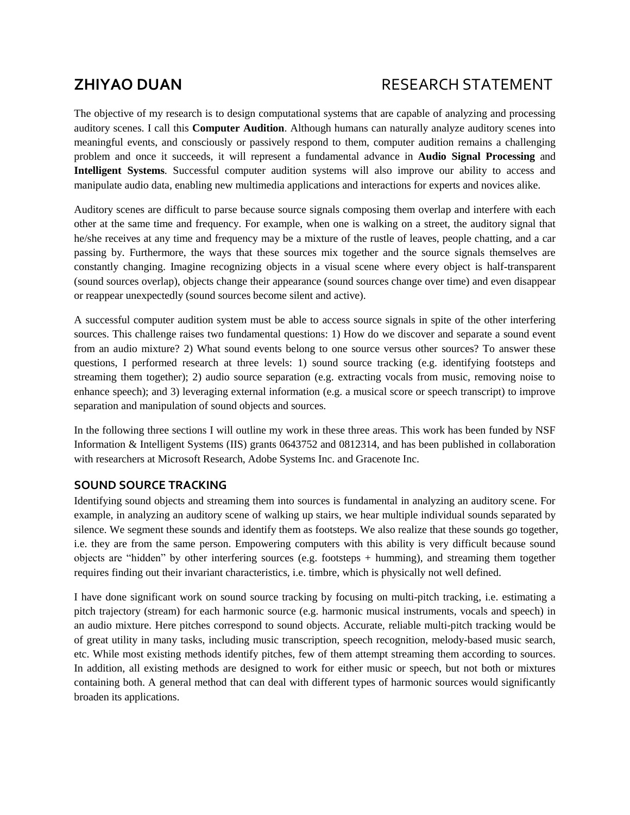# **ZHIYAO DUAN** RESEARCH STATEMENT

The objective of my research is to design computational systems that are capable of analyzing and processing auditory scenes. I call this **Computer Audition**. Although humans can naturally analyze auditory scenes into meaningful events, and consciously or passively respond to them, computer audition remains a challenging problem and once it succeeds, it will represent a fundamental advance in **Audio Signal Processing** and **Intelligent Systems**. Successful computer audition systems will also improve our ability to access and manipulate audio data, enabling new multimedia applications and interactions for experts and novices alike.

Auditory scenes are difficult to parse because source signals composing them overlap and interfere with each other at the same time and frequency. For example, when one is walking on a street, the auditory signal that he/she receives at any time and frequency may be a mixture of the rustle of leaves, people chatting, and a car passing by. Furthermore, the ways that these sources mix together and the source signals themselves are constantly changing. Imagine recognizing objects in a visual scene where every object is half-transparent (sound sources overlap), objects change their appearance (sound sources change over time) and even disappear or reappear unexpectedly (sound sources become silent and active).

A successful computer audition system must be able to access source signals in spite of the other interfering sources. This challenge raises two fundamental questions: 1) How do we discover and separate a sound event from an audio mixture? 2) What sound events belong to one source versus other sources? To answer these questions, I performed research at three levels: 1) sound source tracking (e.g. identifying footsteps and streaming them together); 2) audio source separation (e.g. extracting vocals from music, removing noise to enhance speech); and 3) leveraging external information (e.g. a musical score or speech transcript) to improve separation and manipulation of sound objects and sources.

In the following three sections I will outline my work in these three areas. This work has been funded by NSF Information & Intelligent Systems (IIS) grants 0643752 and 0812314, and has been published in collaboration with researchers at Microsoft Research, Adobe Systems Inc. and Gracenote Inc.

# **SOUND SOURCE TRACKING**

Identifying sound objects and streaming them into sources is fundamental in analyzing an auditory scene. For example, in analyzing an auditory scene of walking up stairs, we hear multiple individual sounds separated by silence. We segment these sounds and identify them as footsteps. We also realize that these sounds go together, i.e. they are from the same person. Empowering computers with this ability is very difficult because sound objects are "hidden" by other interfering sources (e.g. footsteps + humming), and streaming them together requires finding out their invariant characteristics, i.e. timbre, which is physically not well defined.

I have done significant work on sound source tracking by focusing on multi-pitch tracking, i.e. estimating a pitch trajectory (stream) for each harmonic source (e.g. harmonic musical instruments, vocals and speech) in an audio mixture. Here pitches correspond to sound objects. Accurate, reliable multi-pitch tracking would be of great utility in many tasks, including music transcription, speech recognition, melody-based music search, etc. While most existing methods identify pitches, few of them attempt streaming them according to sources. In addition, all existing methods are designed to work for either music or speech, but not both or mixtures containing both. A general method that can deal with different types of harmonic sources would significantly broaden its applications.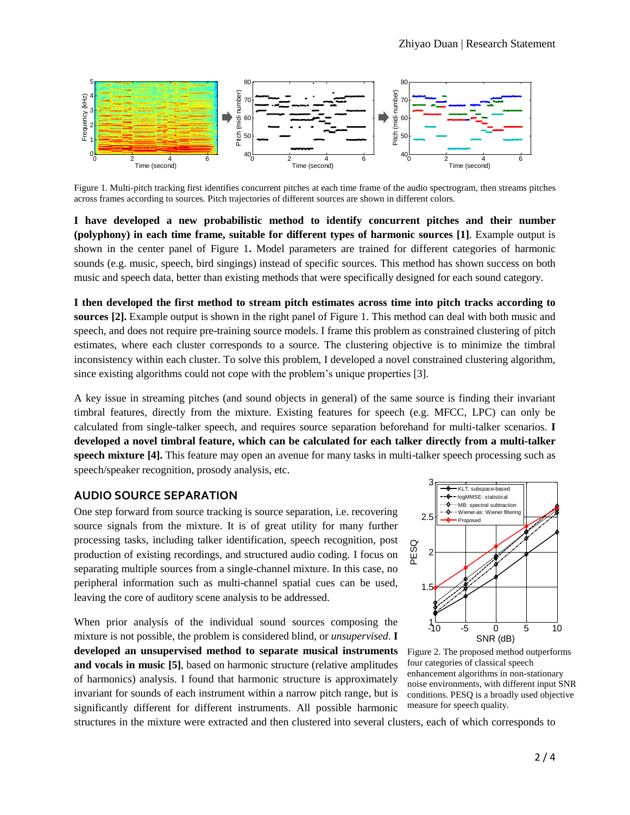

Figure 1. Multi-pitch tracking first identifies concurrent pitches at each time frame of the audio spectrogram, then streams pitches across frames according to sources. Pitch trajectories of different sources are shown in different colors.

**I have developed a new probabilistic method to identify concurrent pitches and their number (polyphony) in each time frame, suitable for different types of harmonic sources [\[1\]](#page-3-0)**. Example output is shown in the center panel of Figure 1**.** Model parameters are trained for different categories of harmonic sounds (e.g. music, speech, bird singings) instead of specific sources. This method has shown success on both music and speech data, better than existing methods that were specifically designed for each sound category.

**I then developed the first method to stream pitch estimates across time into pitch tracks according to sources [\[2\].](#page-3-1)** Example output is shown in the right panel of Figure 1. This method can deal with both music and speech, and does not require pre-training source models. I frame this problem as constrained clustering of pitch estimates, where each cluster corresponds to a source. The clustering objective is to minimize the timbral inconsistency within each cluster. To solve this problem, I developed a novel constrained clustering algorithm, since existing algorithms could not cope with the problem's unique properties [\[3\].](#page-3-2)

A key issue in streaming pitches (and sound objects in general) of the same source is finding their invariant timbral features, directly from the mixture. Existing features for speech (e.g. MFCC, LPC) can only be calculated from single-talker speech, and requires source separation beforehand for multi-talker scenarios. **I developed a novel timbral feature, which can be calculated for each talker directly from a multi-talker speech mixture [\[4\].](#page-3-3)** This feature may open an avenue for many tasks in multi-talker speech processing such as speech/speaker recognition, prosody analysis, etc.

#### **AUDIO SOURCE SEPARATION**

One step forward from source tracking is source separation, i.e. recovering source signals from the mixture. It is of great utility for many further processing tasks, including talker identification, speech recognition, post production of existing recordings, and structured audio coding. I focus on separating multiple sources from a single-channel mixture. In this case, no peripheral information such as multi-channel spatial cues can be used, leaving the core of auditory scene analysis to be addressed.

When prior analysis of the individual sound sources composing the mixture is not possible, the problem is considered blind, or *unsupervised*. **I developed an unsupervised method to separate musical instruments and vocals in music [\[5\]](#page-3-4)**, based on harmonic structure (relative amplitudes of harmonics) analysis. I found that harmonic structure is approximately invariant for sounds of each instrument within a narrow pitch range, but is significantly different for different instruments. All possible harmonic



Figure 2. The proposed method outperforms four categories of classical speech enhancement algorithms in non-stationary noise environments, with different input SNR conditions. PESQ is a broadly used objective measure for speech quality.

structures in the mixture were extracted and then clustered into several clusters, each of which corresponds to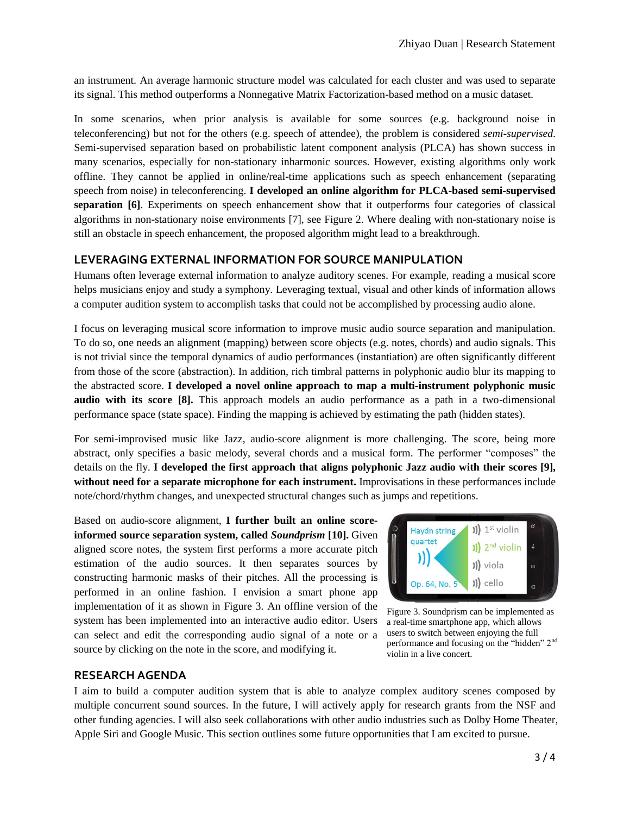an instrument. An average harmonic structure model was calculated for each cluster and was used to separate its signal. This method outperforms a Nonnegative Matrix Factorization-based method on a music dataset.

In some scenarios, when prior analysis is available for some sources (e.g. background noise in teleconferencing) but not for the others (e.g. speech of attendee), the problem is considered *semi-supervised*. Semi-supervised separation based on probabilistic latent component analysis (PLCA) has shown success in many scenarios, especially for non-stationary inharmonic sources. However, existing algorithms only work offline. They cannot be applied in online/real-time applications such as speech enhancement (separating speech from noise) in teleconferencing. **I developed an online algorithm for PLCA-based semi-supervised separation [\[6\]](#page-3-5)**. Experiments on speech enhancement show that it outperforms four categories of classical algorithms in non-stationary noise environments [\[7\],](#page-3-6) see Figure 2. Where dealing with non-stationary noise is still an obstacle in speech enhancement, the proposed algorithm might lead to a breakthrough.

# **LEVERAGING EXTERNAL INFORMATION FOR SOURCE MANIPULATION**

Humans often leverage external information to analyze auditory scenes. For example, reading a musical score helps musicians enjoy and study a symphony. Leveraging textual, visual and other kinds of information allows a computer audition system to accomplish tasks that could not be accomplished by processing audio alone.

I focus on leveraging musical score information to improve music audio source separation and manipulation. To do so, one needs an alignment (mapping) between score objects (e.g. notes, chords) and audio signals. This is not trivial since the temporal dynamics of audio performances (instantiation) are often significantly different from those of the score (abstraction). In addition, rich timbral patterns in polyphonic audio blur its mapping to the abstracted score. **I developed a novel online approach to map a multi-instrument polyphonic music audio with its score [\[8\].](#page-3-7)** This approach models an audio performance as a path in a two-dimensional performance space (state space). Finding the mapping is achieved by estimating the path (hidden states).

For semi-improvised music like Jazz, audio-score alignment is more challenging. The score, being more abstract, only specifies a basic melody, several chords and a musical form. The performer "composes" the details on the fly. **I developed the first approach that aligns polyphonic Jazz audio with their scores [\[9\],](#page-3-8) without need for a separate microphone for each instrument.** Improvisations in these performances include note/chord/rhythm changes, and unexpected structural changes such as jumps and repetitions.

Based on audio-score alignment, **I further built an online scoreinformed source separation system, called** *Soundprism* **[\[10\].](#page-3-9)** Given aligned score notes, the system first performs a more accurate pitch estimation of the audio sources. It then separates sources by constructing harmonic masks of their pitches. All the processing is performed in an online fashion. I envision a smart phone app implementation of it as shown in Figure 3. An offline version of the system has been implemented into an interactive audio editor. Users can select and edit the corresponding audio signal of a note or a source by clicking on the note in the score, and modifying it.



Figure 3. Soundprism can be implemented as a real-time smartphone app, which allows users to switch between enjoying the full performance and focusing on the "hidden" 2nd violin in a live concert.

# **RESEARCH AGENDA**

I aim to build a computer audition system that is able to analyze complex auditory scenes composed by multiple concurrent sound sources. In the future, I will actively apply for research grants from the NSF and other funding agencies. I will also seek collaborations with other audio industries such as Dolby Home Theater, Apple Siri and Google Music. This section outlines some future opportunities that I am excited to pursue.